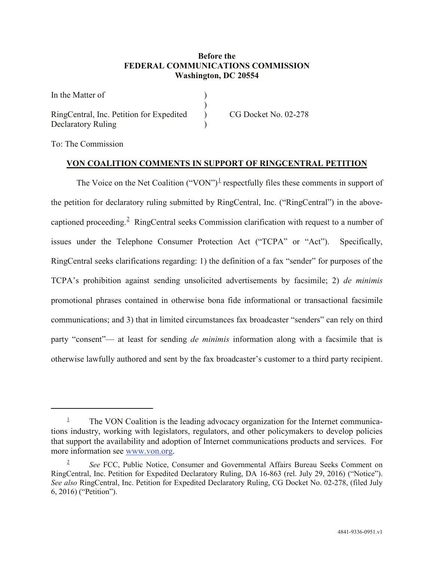## **Before the FEDERAL COMMUNICATIONS COMMISSION Washington, DC 20554**

| In the Matter of                         |                      |
|------------------------------------------|----------------------|
|                                          |                      |
| RingCentral, Inc. Petition for Expedited | CG Docket No. 02-278 |
| Declaratory Ruling                       |                      |

To: The Commission

 $\overline{a}$ 

## **VON COALITION COMMENTS IN SUPPORT OF RINGCENTRAL PETITION**

The Voice on the Net Coalition ("VON")<sup>[1](#page-0-0)</sup> respectfully files these comments in support of the petition for declaratory ruling submitted by RingCentral, Inc. ("RingCentral") in the above-captioned proceeding.<sup>[2](#page-0-1)</sup> RingCentral seeks Commission clarification with request to a number of issues under the Telephone Consumer Protection Act ("TCPA" or "Act"). Specifically, RingCentral seeks clarifications regarding: 1) the definition of a fax "sender" for purposes of the TCPA's prohibition against sending unsolicited advertisements by facsimile; 2) *de minimis* promotional phrases contained in otherwise bona fide informational or transactional facsimile communications; and 3) that in limited circumstances fax broadcaster "senders" can rely on third party "consent"— at least for sending *de minimis* information along with a facsimile that is otherwise lawfully authored and sent by the fax broadcaster's customer to a third party recipient.

<span id="page-0-0"></span> $\frac{1}{1}$  The VON Coalition is the leading advocacy organization for the Internet communications industry, working with legislators, regulators, and other policymakers to develop policies that support the availability and adoption of Internet communications products and services. For more information see [www.von.org.](http://www.von.org/)

<span id="page-0-1"></span><sup>2</sup> *See* FCC, Public Notice, Consumer and Governmental Affairs Bureau Seeks Comment on RingCentral, Inc. Petition for Expedited Declaratory Ruling, DA 16-863 (rel. July 29, 2016) ("Notice"). *See also* RingCentral, Inc. Petition for Expedited Declaratory Ruling, CG Docket No. 02-278, (filed July 6, 2016) ("Petition").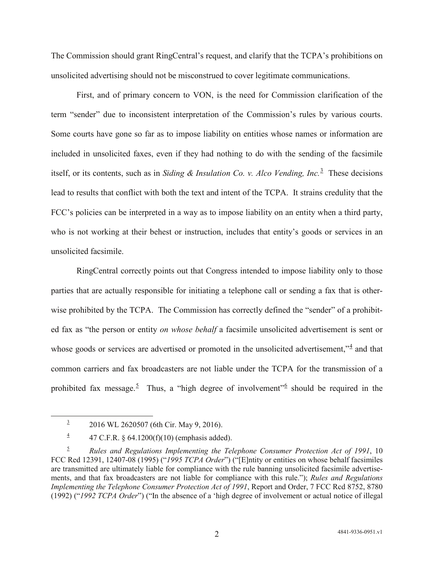The Commission should grant RingCentral's request, and clarify that the TCPA's prohibitions on unsolicited advertising should not be misconstrued to cover legitimate communications.

First, and of primary concern to VON, is the need for Commission clarification of the term "sender" due to inconsistent interpretation of the Commission's rules by various courts. Some courts have gone so far as to impose liability on entities whose names or information are included in unsolicited faxes, even if they had nothing to do with the sending of the facsimile itself, or its contents, such as in *Siding & Insulation Co. v. Alco Vending, Inc.*[3](#page-1-0) These decisions lead to results that conflict with both the text and intent of the TCPA. It strains credulity that the FCC's policies can be interpreted in a way as to impose liability on an entity when a third party, who is not working at their behest or instruction, includes that entity's goods or services in an unsolicited facsimile.

RingCentral correctly points out that Congress intended to impose liability only to those parties that are actually responsible for initiating a telephone call or sending a fax that is otherwise prohibited by the TCPA. The Commission has correctly defined the "sender" of a prohibited fax as "the person or entity *on whose behalf* a facsimile unsolicited advertisement is sent or whose goods or services are advertised or promoted in the unsolicited advertisement," $\frac{4}{3}$  $\frac{4}{3}$  $\frac{4}{3}$  and that common carriers and fax broadcasters are not liable under the TCPA for the transmission of a prohibited fax message.<sup>[5](#page-1-2)</sup> Thus, a "high degree of involvement"<sup>[6](#page-1-3)</sup> should be required in the

 $3 \qquad 2016 \text{ WL } 2620507 \text{ (6th Cir. May 9, 2016).}$ 

 $\frac{4}{1}$  47 C.F.R. § 64.1200(f)(10) (emphasis added).

<span id="page-1-3"></span><span id="page-1-2"></span><span id="page-1-1"></span><span id="page-1-0"></span><sup>5</sup> *Rules and Regulations Implementing the Telephone Consumer Protection Act of 1991*, 10 FCC Red 12391, 12407-08 (1995) ("*1995 TCPA Order*") ("[E]ntity or entities on whose behalf facsimiles are transmitted are ultimately liable for compliance with the rule banning unsolicited facsimile advertisements, and that fax broadcasters are not liable for compliance with this rule."); *Rules and Regulations Implementing the Telephone Consumer Protection Act of 1991*, Report and Order, 7 FCC Rcd 8752, 8780 (1992) ("*1992 TCPA Order*") ("In the absence of a 'high degree of involvement or actual notice of illegal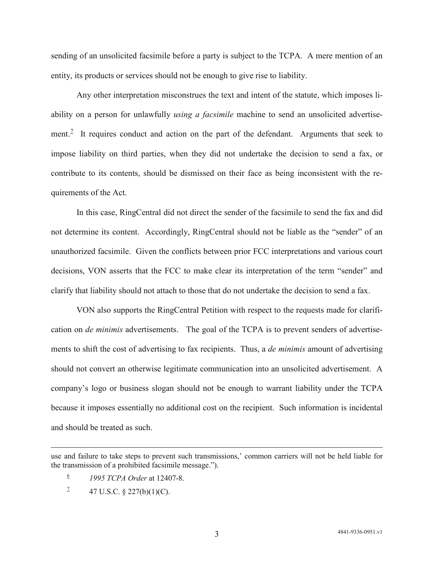sending of an unsolicited facsimile before a party is subject to the TCPA. A mere mention of an entity, its products or services should not be enough to give rise to liability.

Any other interpretation misconstrues the text and intent of the statute, which imposes liability on a person for unlawfully *using a facsimile* machine to send an unsolicited advertise-ment.<sup>[7](#page-2-0)</sup> It requires conduct and action on the part of the defendant. Arguments that seek to impose liability on third parties, when they did not undertake the decision to send a fax, or contribute to its contents, should be dismissed on their face as being inconsistent with the requirements of the Act.

In this case, RingCentral did not direct the sender of the facsimile to send the fax and did not determine its content. Accordingly, RingCentral should not be liable as the "sender" of an unauthorized facsimile. Given the conflicts between prior FCC interpretations and various court decisions, VON asserts that the FCC to make clear its interpretation of the term "sender" and clarify that liability should not attach to those that do not undertake the decision to send a fax.

VON also supports the RingCentral Petition with respect to the requests made for clarification on *de minimis* advertisements. The goal of the TCPA is to prevent senders of advertisements to shift the cost of advertising to fax recipients. Thus, a *de minimis* amount of advertising should not convert an otherwise legitimate communication into an unsolicited advertisement. A company's logo or business slogan should not be enough to warrant liability under the TCPA because it imposes essentially no additional cost on the recipient. Such information is incidental and should be treated as such.

 $\overline{a}$ 

<span id="page-2-0"></span>use and failure to take steps to prevent such transmissions,' common carriers will not be held liable for the transmission of a prohibited facsimile message.").

<sup>6</sup> *1995 TCPA Order* at 12407-8.

<sup>&</sup>lt;sup>2</sup> 47 U.S.C. § 227(b)(1)(C).